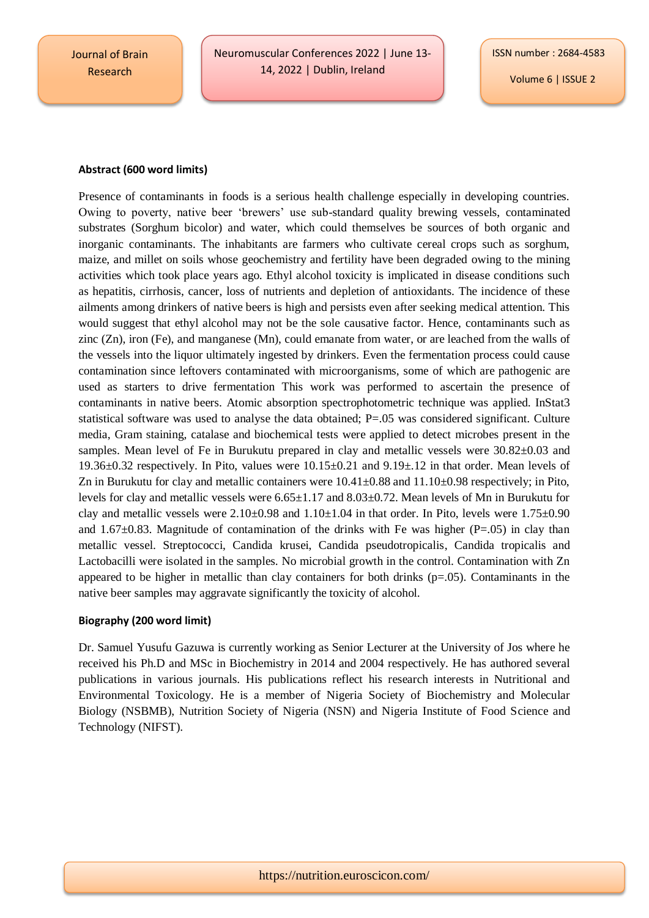Journal of Brain Research

Neuromuscular Conferences 2022 | June 13- 14, 2022 | Dublin, Ireland

Volume 6 | ISSUE 2

## **Abstract (600 word limits)**

Presence of contaminants in foods is a serious health challenge especially in developing countries. Owing to poverty, native beer 'brewers' use sub-standard quality brewing vessels, contaminated substrates (Sorghum bicolor) and water, which could themselves be sources of both organic and inorganic contaminants. The inhabitants are farmers who cultivate cereal crops such as sorghum, maize, and millet on soils whose geochemistry and fertility have been degraded owing to the mining activities which took place years ago. Ethyl alcohol toxicity is implicated in disease conditions such as hepatitis, cirrhosis, cancer, loss of nutrients and depletion of antioxidants. The incidence of these ailments among drinkers of native beers is high and persists even after seeking medical attention. This would suggest that ethyl alcohol may not be the sole causative factor. Hence, contaminants such as zinc (Zn), iron (Fe), and manganese (Mn), could emanate from water, or are leached from the walls of the vessels into the liquor ultimately ingested by drinkers. Even the fermentation process could cause contamination since leftovers contaminated with microorganisms, some of which are pathogenic are used as starters to drive fermentation This work was performed to ascertain the presence of contaminants in native beers. Atomic absorption spectrophotometric technique was applied. InStat3 statistical software was used to analyse the data obtained; P=.05 was considered significant. Culture media, Gram staining, catalase and biochemical tests were applied to detect microbes present in the samples. Mean level of Fe in Burukutu prepared in clay and metallic vessels were  $30.82 \pm 0.03$  and 19.36±0.32 respectively. In Pito, values were 10.15±0.21 and 9.19±.12 in that order. Mean levels of Zn in Burukutu for clay and metallic containers were  $10.41 \pm 0.88$  and  $11.10 \pm 0.98$  respectively; in Pito, levels for clay and metallic vessels were 6.65±1.17 and 8.03±0.72. Mean levels of Mn in Burukutu for clay and metallic vessels were  $2.10\pm0.98$  and  $1.10\pm1.04$  in that order. In Pito, levels were  $1.75\pm0.90$ and  $1.67\pm0.83$ . Magnitude of contamination of the drinks with Fe was higher (P=.05) in clay than metallic vessel. Streptococci, Candida krusei, Candida pseudotropicalis, Candida tropicalis and Lactobacilli were isolated in the samples. No microbial growth in the control. Contamination with Zn appeared to be higher in metallic than clay containers for both drinks (p=.05). Contaminants in the native beer samples may aggravate significantly the toxicity of alcohol.

## **Biography (200 word limit)**

Dr. Samuel Yusufu Gazuwa is currently working as Senior Lecturer at the University of Jos where he received his Ph.D and MSc in Biochemistry in 2014 and 2004 respectively. He has authored several publications in various journals. His publications reflect his research interests in Nutritional and Environmental Toxicology. He is a member of Nigeria Society of Biochemistry and Molecular Biology (NSBMB), Nutrition Society of Nigeria (NSN) and Nigeria Institute of Food Science and Technology (NIFST).